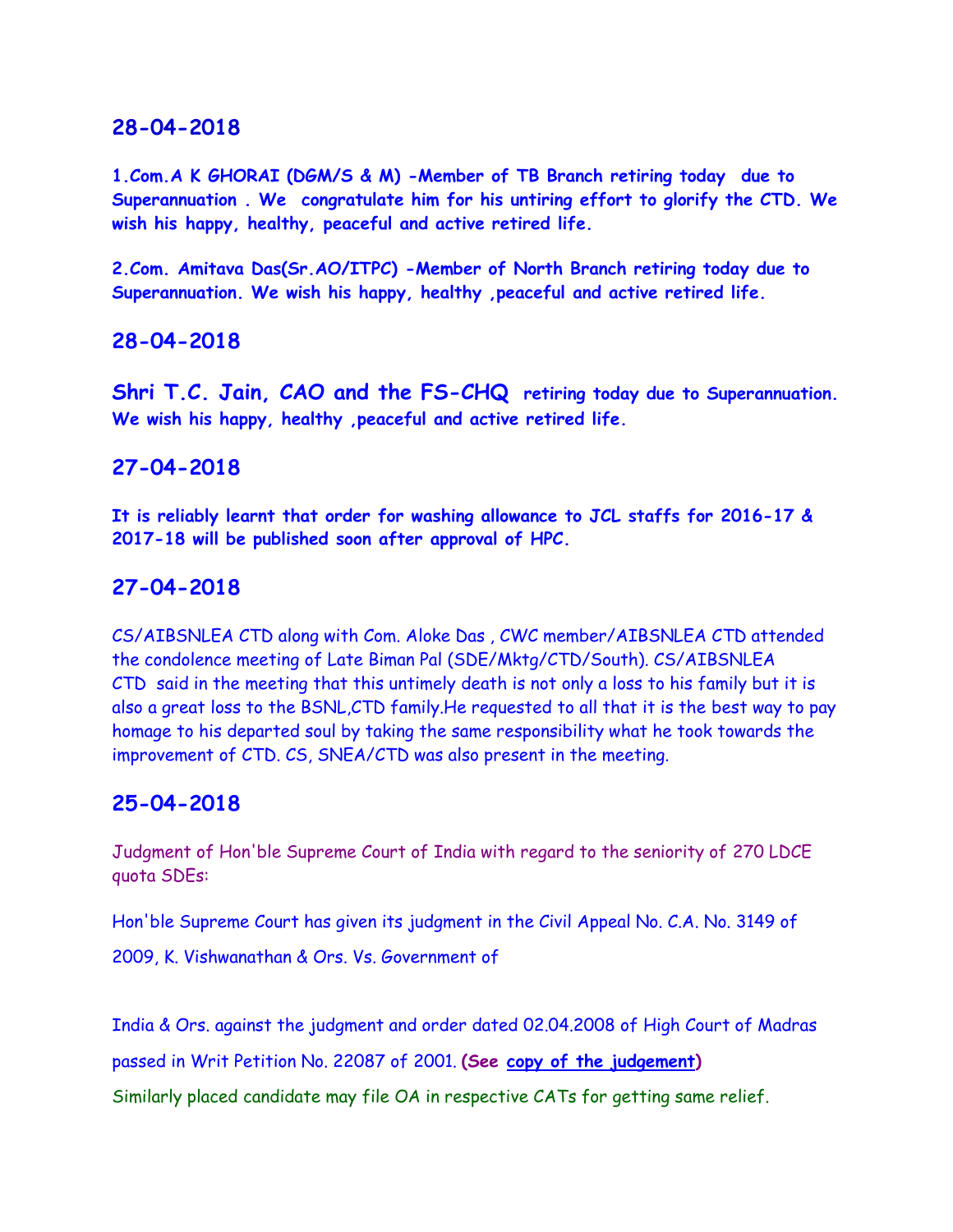**1.Com.A K GHORAI (DGM/S & M) -Member of TB Branch retiring today due to Superannuation . We congratulate him for his untiring effort to glorify the CTD. We wish his happy, healthy, peaceful and active retired life.**

**2.Com. Amitava Das(Sr.AO/ITPC) -Member of North Branch retiring today due to Superannuation. We wish his happy, healthy ,peaceful and active retired life.**

### **28-04-2018**

**Shri T.C. Jain, CAO and the FS-CHQ retiring today due to Superannuation. We wish his happy, healthy ,peaceful and active retired life.**

### **27-04-2018**

**It is reliably learnt that order for washing allowance to JCL staffs for 2016-17 & 2017-18 will be published soon after approval of HPC.**

### **27-04-2018**

CS/AIBSNLEA CTD along with Com. Aloke Das , CWC member/AIBSNLEA CTD attended the condolence meeting of Late Biman Pal (SDE/Mktg/CTD/South). CS/AIBSNLEA CTD said in the meeting that this untimely death is not only a loss to his family but it is also a great loss to the BSNL,CTD family.He requested to all that it is the best way to pay homage to his departed soul by taking the same responsibility what he took towards the improvement of CTD. CS, SNEA/CTD was also present in the meeting.

### **25-04-2018**

Judgment of Hon'ble Supreme Court of India with regard to the seniority of 270 LDCE quota SDEs:

Hon'ble Supreme Court has given its judgment in the Civil Appeal No. C.A. No. 3149 of

2009, K. Vishwanathan & Ors. Vs. Government of

India & Ors. against the judgment and order dated 02.04.2008 of High Court of Madras passed in Writ Petition No. 22087 of 2001. **(See [copy of the judgement\)](http://www.aibsnleachq.in/K.VISHWANATHAN_270.pdf)**

Similarly placed candidate may file OA in respective CATs for getting same relief.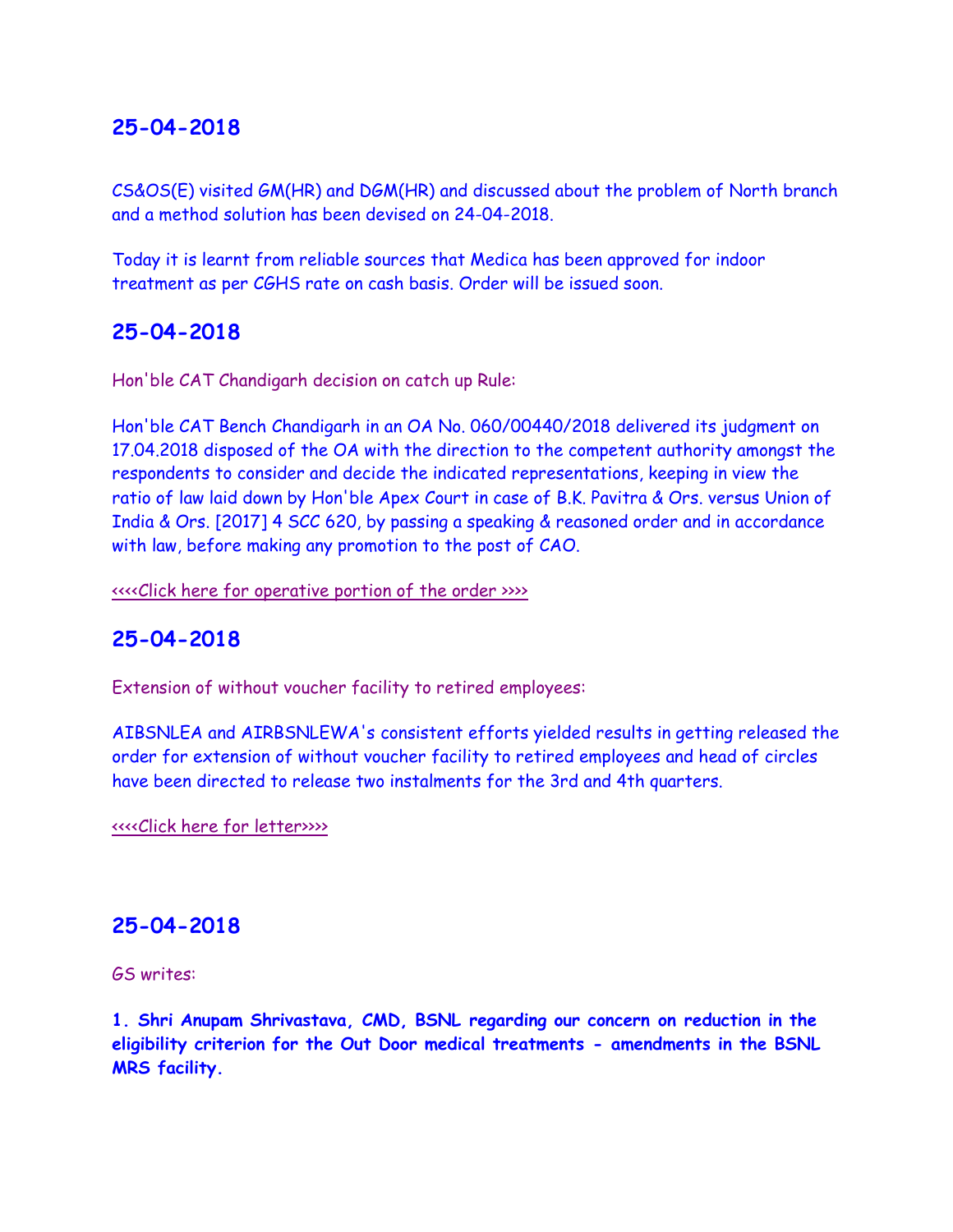CS&OS(E) visited GM(HR) and DGM(HR) and discussed about the problem of North branch and a method solution has been devised on 24-04-2018.

Today it is learnt from reliable sources that Medica has been approved for indoor treatment as per CGHS rate on cash basis. Order will be issued soon.

### **25-04-2018**

Hon'ble CAT Chandigarh decision on catch up Rule:

Hon'ble CAT Bench Chandigarh in an OA No. 060/00440/2018 delivered its judgment on 17.04.2018 disposed of the OA with the direction to the competent authority amongst the respondents to consider and decide the indicated representations, keeping in view the ratio of law laid down by Hon'ble Apex Court in case of B.K. Pavitra & Ors. versus Union of India & Ors. [2017] 4 SCC 620, by passing a speaking & reasoned order and in accordance with law, before making any promotion to the post of CAO.

[<<<<Click here for operative portion of the order >>>>](http://www.aibsnleachq.in/IMG-20180424-WA0039.jpg)

### **25-04-2018**

Extension of without voucher facility to retired employees:

AIBSNLEA and AIRBSNLEWA's consistent efforts yielded results in getting released the order for extension of without voucher facility to retired employees and head of circles have been directed to release two instalments for the 3rd and 4th quarters.

[<<<<Click here for letter>>>>](http://www.aibsnleachq.in/MRS_180425.jpg)

### **25-04-2018**

GS writes:

**1. Shri Anupam Shrivastava, CMD, BSNL regarding our concern on reduction in the eligibility criterion for the Out Door medical treatments - amendments in the BSNL MRS facility.**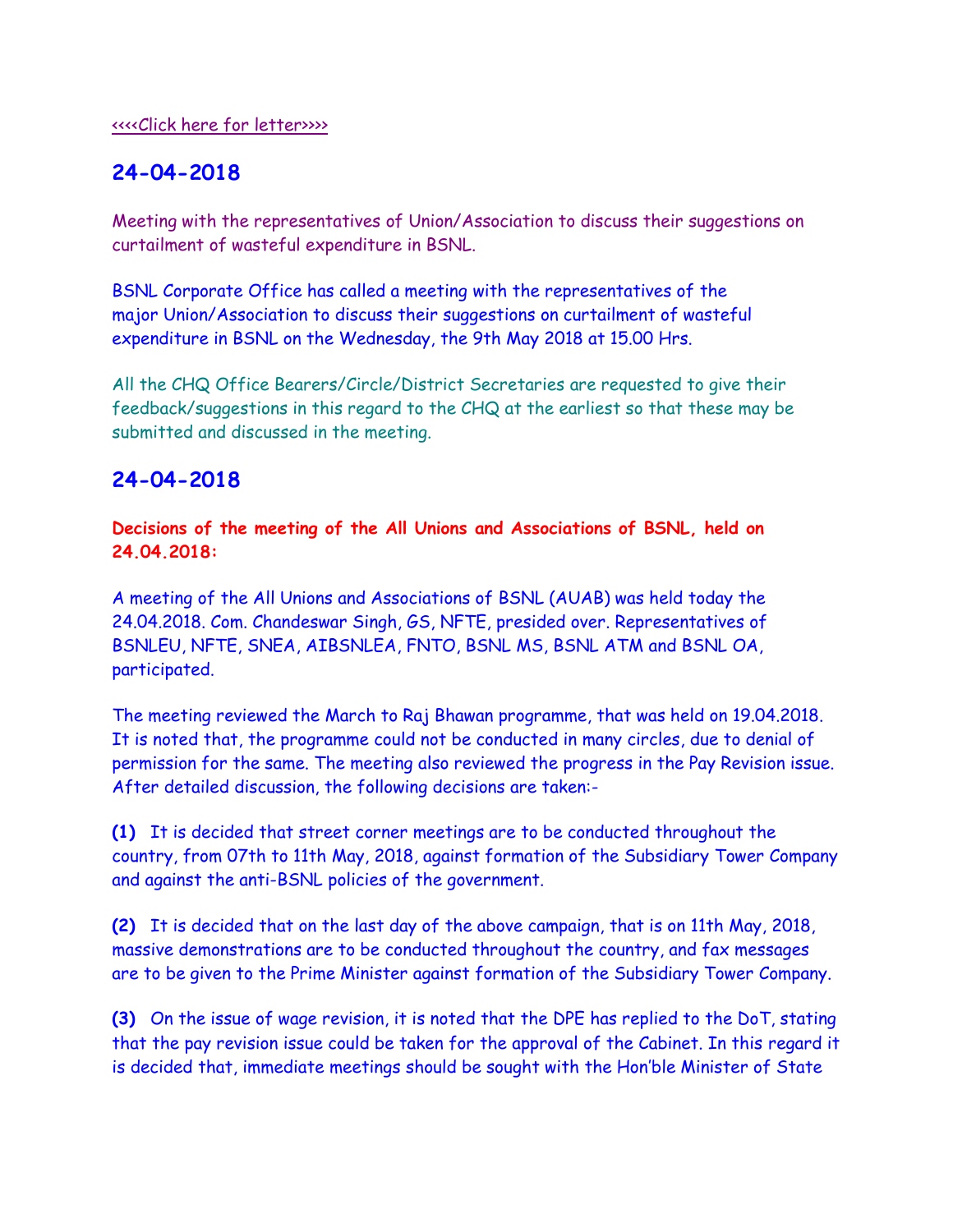Meeting with the representatives of Union/Association to discuss their suggestions on curtailment of wasteful expenditure in BSNL.

BSNL Corporate Office has called a meeting with the representatives of the major Union/Association to discuss their suggestions on curtailment of wasteful expenditure in BSNL on the Wednesday, the 9th May 2018 at 15.00 Hrs.

All the CHQ Office Bearers/Circle/District Secretaries are requested to give their feedback/suggestions in this regard to the CHQ at the earliest so that these may be submitted and discussed in the meeting.

### **24-04-2018**

**Decisions of the meeting of the All Unions and Associations of BSNL, held on 24.04.2018:**

A meeting of the All Unions and Associations of BSNL (AUAB) was held today the 24.04.2018. Com. Chandeswar Singh, GS, NFTE, presided over. Representatives of BSNLEU, NFTE, SNEA, AIBSNLEA, FNTO, BSNL MS, BSNL ATM and BSNL OA, participated.

The meeting reviewed the March to Raj Bhawan programme, that was held on 19.04.2018. It is noted that, the programme could not be conducted in many circles, due to denial of permission for the same. The meeting also reviewed the progress in the Pay Revision issue. After detailed discussion, the following decisions are taken:-

**(1)** It is decided that street corner meetings are to be conducted throughout the country, from 07th to 11th May, 2018, against formation of the Subsidiary Tower Company and against the anti-BSNL policies of the government.

**(2)** It is decided that on the last day of the above campaign, that is on 11th May, 2018, massive demonstrations are to be conducted throughout the country, and fax messages are to be given to the Prime Minister against formation of the Subsidiary Tower Company.

**(3)** On the issue of wage revision, it is noted that the DPE has replied to the DoT, stating that the pay revision issue could be taken for the approval of the Cabinet. In this regard it is decided that, immediate meetings should be sought with the Hon'ble Minister of State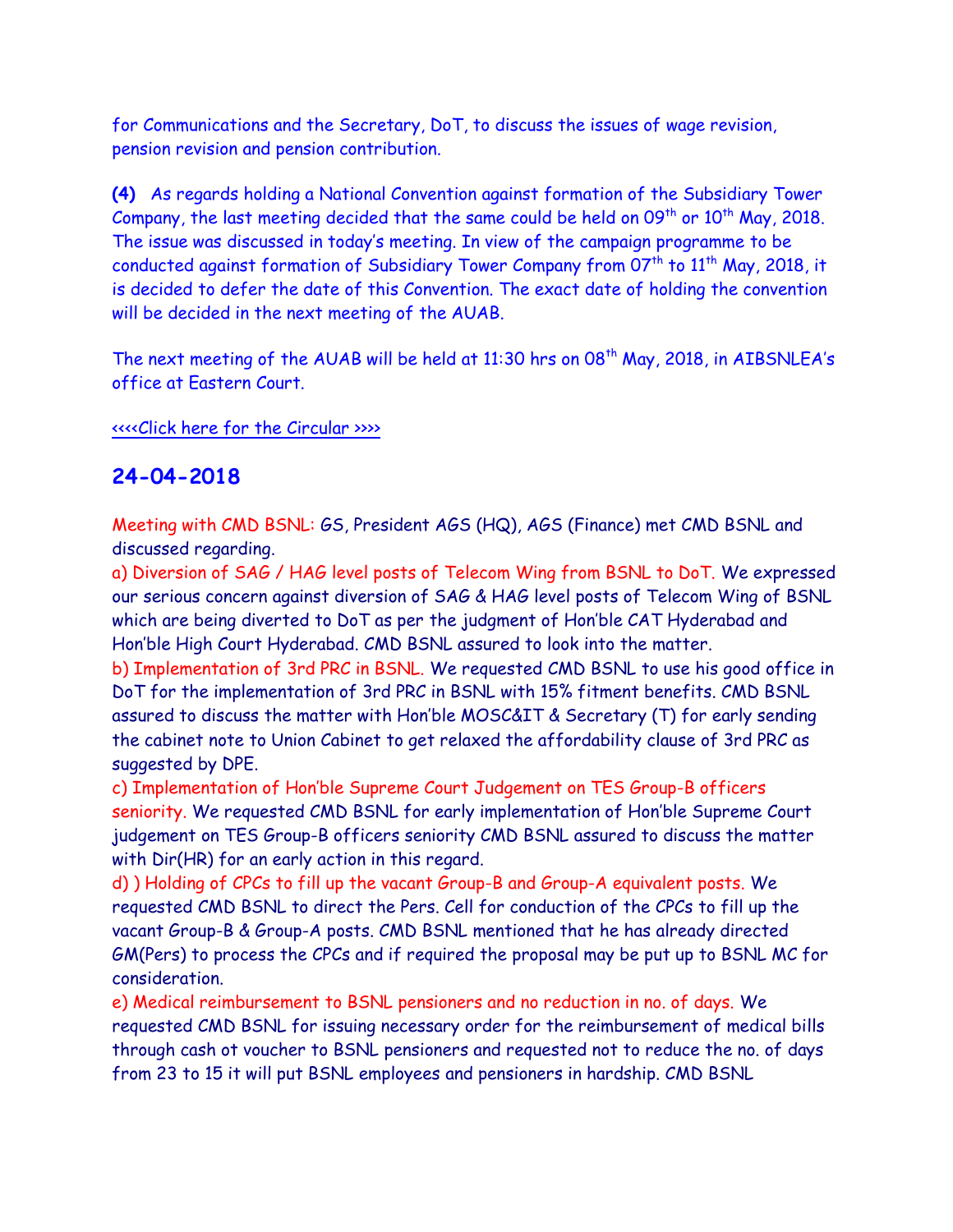for Communications and the Secretary, DoT, to discuss the issues of wage revision, pension revision and pension contribution.

**(4)** As regards holding a National Convention against formation of the Subsidiary Tower Company, the last meeting decided that the same could be held on  $09<sup>th</sup>$  or  $10<sup>th</sup>$  May, 2018. The issue was discussed in today's meeting. In view of the campaign programme to be conducted against formation of Subsidiary Tower Company from  $07<sup>th</sup>$  to  $11<sup>th</sup>$  May, 2018, it is decided to defer the date of this Convention. The exact date of holding the convention will be decided in the next meeting of the AUAB.

The next meeting of the AUAB will be held at 11:30 hrs on  $08<sup>th</sup>$  May, 2018, in AIBSNLEA's office at Eastern Court.

#### [<<<<Click here for the Circular >>>>](http://www.aibsnleachq.in/AUAB%20circular.pdf)

### **24-04-2018**

Meeting with CMD BSNL: GS, President AGS (HQ), AGS (Finance) met CMD BSNL and discussed regarding.

a) Diversion of SAG / HAG level posts of Telecom Wing from BSNL to DoT. We expressed our serious concern against diversion of SAG & HAG level posts of Telecom Wing of BSNL which are being diverted to DoT as per the judgment of Hon'ble CAT Hyderabad and Hon'ble High Court Hyderabad. CMD BSNL assured to look into the matter.

b) Implementation of 3rd PRC in BSNL. We requested CMD BSNL to use his good office in DoT for the implementation of 3rd PRC in BSNL with 15% fitment benefits. CMD BSNL assured to discuss the matter with Hon'ble MOSC&IT & Secretary (T) for early sending the cabinet note to Union Cabinet to get relaxed the affordability clause of 3rd PRC as suggested by DPE.

c) Implementation of Hon'ble Supreme Court Judgement on TES Group-B officers seniority. We requested CMD BSNL for early implementation of Hon'ble Supreme Court judgement on TES Group-B officers seniority CMD BSNL assured to discuss the matter with Dir(HR) for an early action in this regard.

d) ) Holding of CPCs to fill up the vacant Group-B and Group-A equivalent posts. We requested CMD BSNL to direct the Pers. Cell for conduction of the CPCs to fill up the vacant Group-B & Group-A posts. CMD BSNL mentioned that he has already directed GM(Pers) to process the CPCs and if required the proposal may be put up to BSNL MC for consideration.

e) Medical reimbursement to BSNL pensioners and no reduction in no. of days. We requested CMD BSNL for issuing necessary order for the reimbursement of medical bills through cash ot voucher to BSNL pensioners and requested not to reduce the no. of days from 23 to 15 it will put BSNL employees and pensioners in hardship. CMD BSNL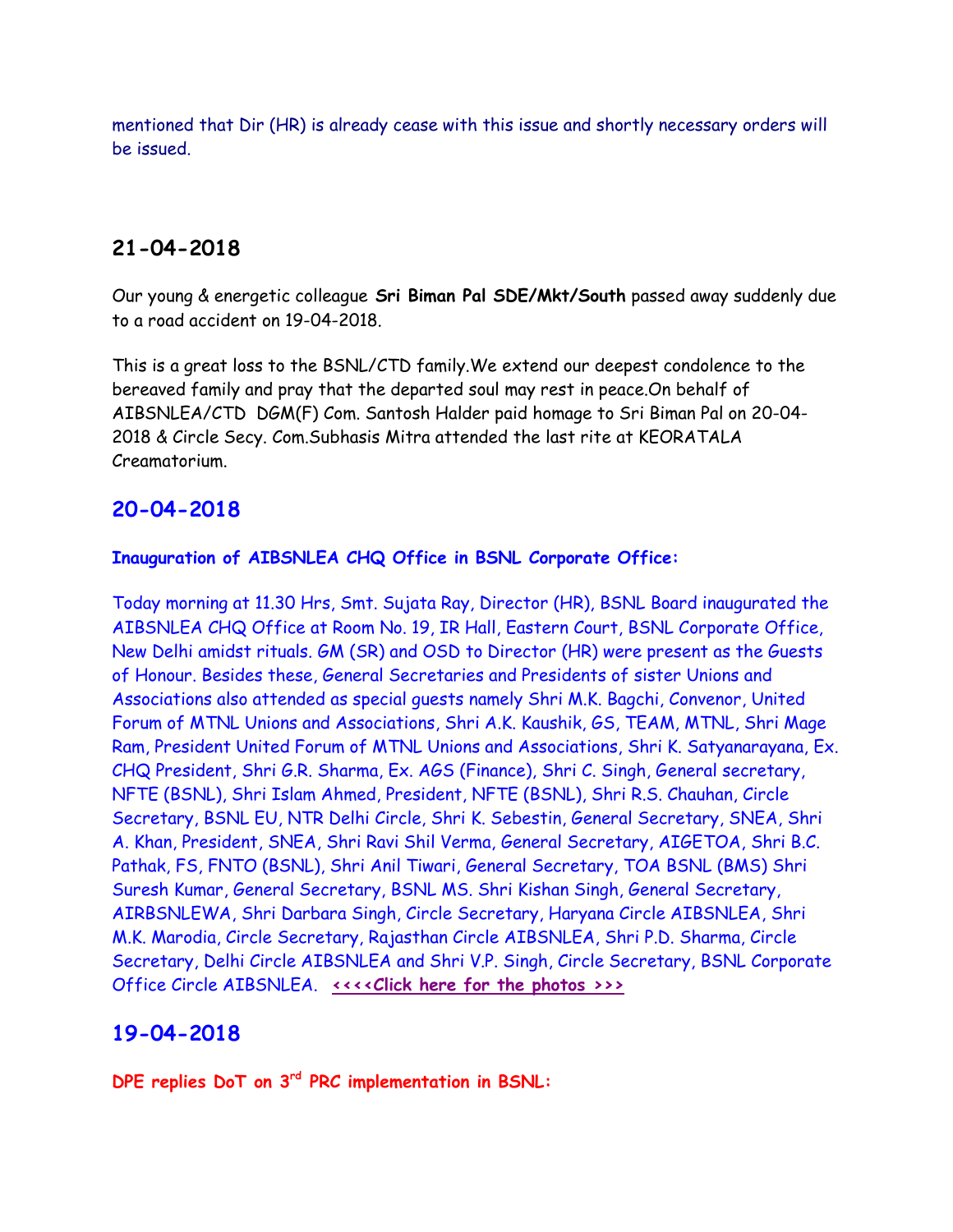mentioned that Dir (HR) is already cease with this issue and shortly necessary orders will be issued.

# **21-04-2018**

Our young & energetic colleague **Sri Biman Pal SDE/Mkt/South** passed away suddenly due to a road accident on 19-04-2018.

This is a great loss to the BSNL/CTD family.We extend our deepest condolence to the bereaved family and pray that the departed soul may rest in peace.On behalf of AIBSNLEA/CTD DGM(F) Com. Santosh Halder paid homage to Sri Biman Pal on 20-04- 2018 & Circle Secy. Com.Subhasis Mitra attended the last rite at KEORATALA Creamatorium.

## **20-04-2018**

#### **Inauguration of AIBSNLEA CHQ Office in BSNL Corporate Office:**

Today morning at 11.30 Hrs, Smt. Sujata Ray, Director (HR), BSNL Board inaugurated the AIBSNLEA CHQ Office at Room No. 19, IR Hall, Eastern Court, BSNL Corporate Office, New Delhi amidst rituals. GM (SR) and OSD to Director (HR) were present as the Guests of Honour. Besides these, General Secretaries and Presidents of sister Unions and Associations also attended as special guests namely Shri M.K. Bagchi, Convenor, United Forum of MTNL Unions and Associations, Shri A.K. Kaushik, GS, TEAM, MTNL, Shri Mage Ram, President United Forum of MTNL Unions and Associations, Shri K. Satyanarayana, Ex. CHQ President, Shri G.R. Sharma, Ex. AGS (Finance), Shri C. Singh, General secretary, NFTE (BSNL), Shri Islam Ahmed, President, NFTE (BSNL), Shri R.S. Chauhan, Circle Secretary, BSNL EU, NTR Delhi Circle, Shri K. Sebestin, General Secretary, SNEA, Shri A. Khan, President, SNEA, Shri Ravi Shil Verma, General Secretary, AIGETOA, Shri B.C. Pathak, FS, FNTO (BSNL), Shri Anil Tiwari, General Secretary, TOA BSNL (BMS) Shri Suresh Kumar, General Secretary, BSNL MS. Shri Kishan Singh, General Secretary, AIRBSNLEWA, Shri Darbara Singh, Circle Secretary, Haryana Circle AIBSNLEA, Shri M.K. Marodia, Circle Secretary, Rajasthan Circle AIBSNLEA, Shri P.D. Sharma, Circle Secretary, Delhi Circle AIBSNLEA and Shri V.P. Singh, Circle Secretary, BSNL Corporate Office Circle AIBSNLEA. **[<<<<Click here for the photos >>>](https://photos.app.goo.gl/QeoYLpcRK5bSxjZl2)**

### **19-04-2018**

**DPE replies DoT on 3rd PRC implementation in BSNL:**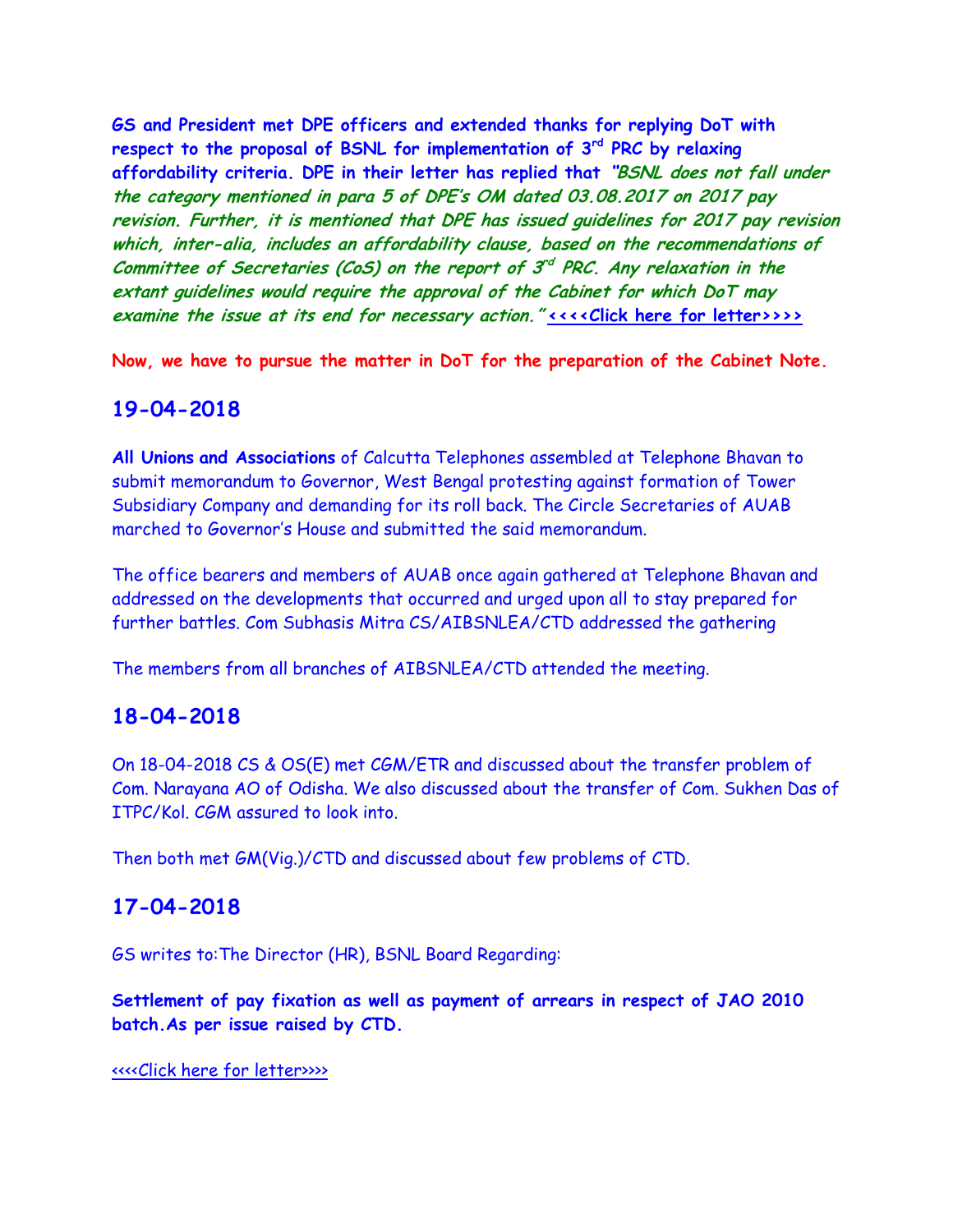**GS and President met DPE officers and extended thanks for replying DoT with respect to the proposal of BSNL for implementation of 3rd PRC by relaxing affordability criteria. DPE in their letter has replied that "BSNL does not fall under the category mentioned in para 5 of DPE's OM dated 03.08.2017 on 2017 pay revision. Further, it is mentioned that DPE has issued guidelines for 2017 pay revision which, inter-alia, includes an affordability clause, based on the recommendations of**  Committee of Secretaries (CoS) on the report of 3<sup>rd</sup> PRC. Any relaxation in the **extant guidelines would require the approval of the Cabinet for which DoT may examine the issue at its end for necessary action." [<<<<Click here for letter>>>>](http://www.aibsnleachq.in/DPE_180419.jpg)**

**Now, we have to pursue the matter in DoT for the preparation of the Cabinet Note.**

### **19-04-2018**

**All Unions and Associations** of Calcutta Telephones assembled at Telephone Bhavan to submit memorandum to Governor, West Bengal protesting against formation of Tower Subsidiary Company and demanding for its roll back. The Circle Secretaries of AUAB marched to Governor's House and submitted the said memorandum.

The office bearers and members of AUAB once again gathered at Telephone Bhavan and addressed on the developments that occurred and urged upon all to stay prepared for further battles. Com Subhasis Mitra CS/AIBSNLEA/CTD addressed the gathering

The members from all branches of AIBSNLEA/CTD attended the meeting.

### **18-04-2018**

On 18-04-2018 CS & OS(E) met CGM/ETR and discussed about the transfer problem of Com. Narayana AO of Odisha. We also discussed about the transfer of Com. Sukhen Das of ITPC/Kol. CGM assured to look into.

Then both met GM(Vig.)/CTD and discussed about few problems of CTD.

### **17-04-2018**

GS writes to:The Director (HR), BSNL Board Regarding:

**Settlement of pay fixation as well as payment of arrears in respect of JAO 2010 batch.As per issue raised by CTD.**

#### [<<<<Click here for letter>>>>](http://www.aibsnleachq.in/DIRHR_Settlement_180417.pdf)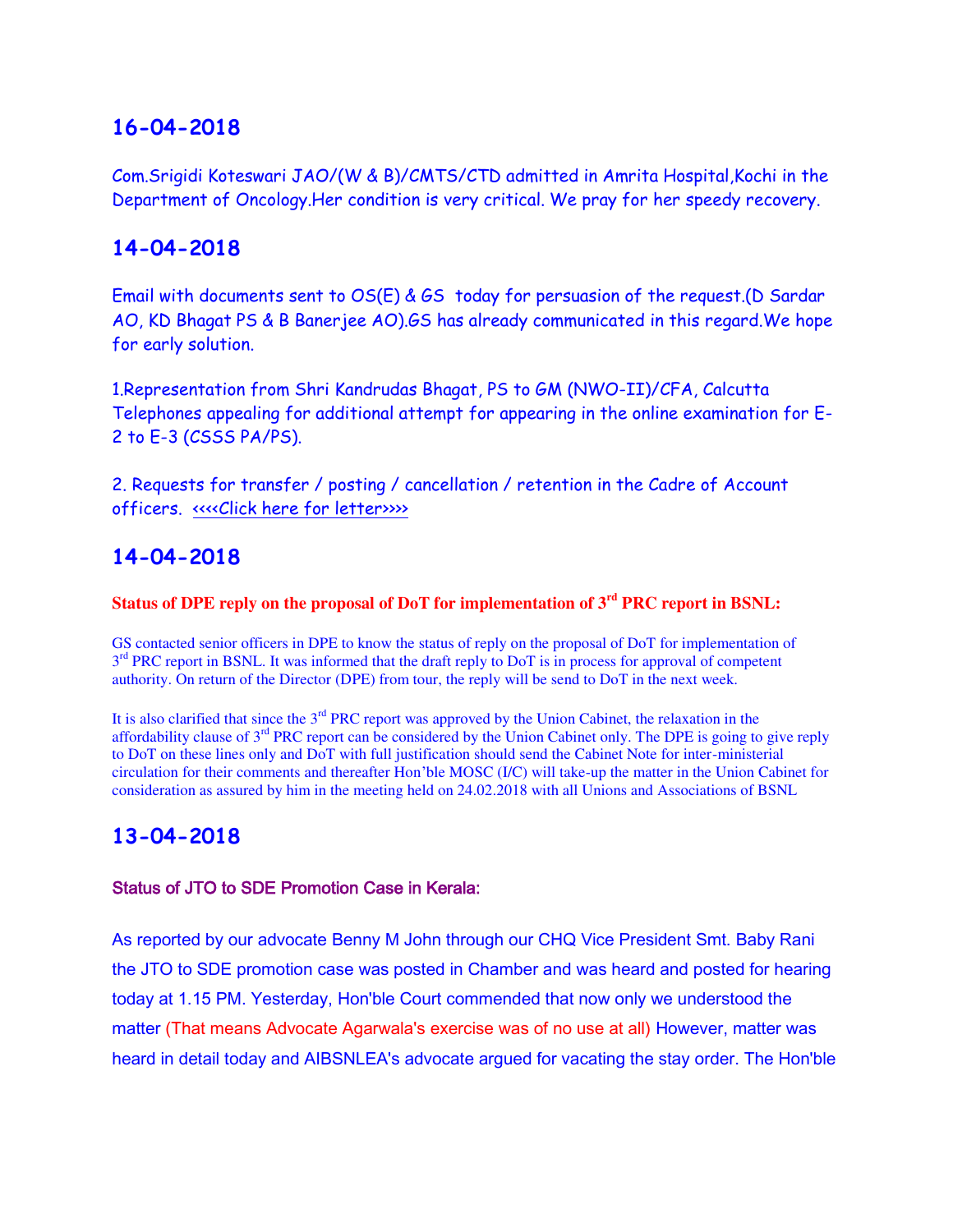Com.Srigidi Koteswari JAO/(W & B)/CMTS/CTD admitted in Amrita Hospital,Kochi in the Department of Oncology.Her condition is very critical. We pray for her speedy recovery.

### **14-04-2018**

Email with documents sent to OS(E) & GS today for persuasion of the request.(D Sardar AO, KD Bhagat PS & B Banerjee AO).GS has already communicated in this regard.We hope for early solution.

1.Representation from Shri Kandrudas Bhagat, PS to GM (NWO-II)/CFA, Calcutta Telephones appealing for additional attempt for appearing in the online examination for E-2 to E-3 (CSSS PA/PS).

2. Requests for transfer / posting / cancellation / retention in the Cadre of Account officers. [<<<<Click here for letter>>>>](http://www.aibsnleachq.in/GMFP_180412.pdf) 

## **14-04-2018**

### **Status of DPE reply on the proposal of DoT for implementation of 3rd PRC report in BSNL:**

GS contacted senior officers in DPE to know the status of reply on the proposal of DoT for implementation of 3<sup>rd</sup> PRC report in BSNL. It was informed that the draft reply to DoT is in process for approval of competent authority. On return of the Director (DPE) from tour, the reply will be send to DoT in the next week.

It is also clarified that since the  $3<sup>rd</sup> PRC$  report was approved by the Union Cabinet, the relaxation in the affordability clause of 3rd PRC report can be considered by the Union Cabinet only. The DPE is going to give reply to DoT on these lines only and DoT with full justification should send the Cabinet Note for inter-ministerial circulation for their comments and thereafter Hon'ble MOSC (I/C) will take-up the matter in the Union Cabinet for consideration as assured by him in the meeting held on 24.02.2018 with all Unions and Associations of BSNL

## **13-04-2018**

#### Status of JTO to SDE Promotion Case in Kerala:

As reported by our advocate Benny M John through our CHQ Vice President Smt. Baby Rani the JTO to SDE promotion case was posted in Chamber and was heard and posted for hearing today at 1.15 PM. Yesterday, Hon'ble Court commended that now only we understood the matter (That means Advocate Agarwala's exercise was of no use at all) However, matter was heard in detail today and AIBSNLEA's advocate argued for vacating the stay order. The Hon'ble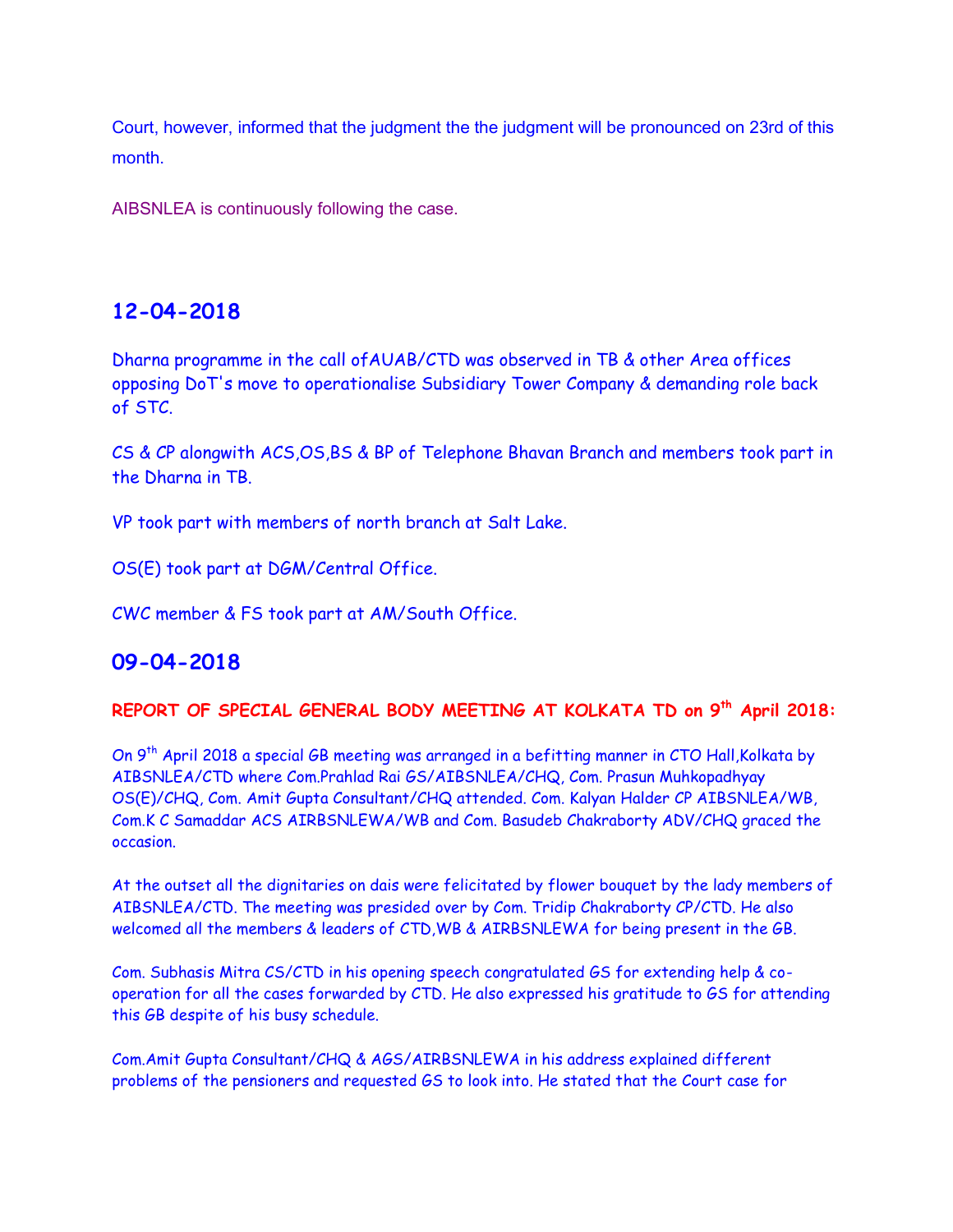Court, however, informed that the judgment the the judgment will be pronounced on 23rd of this month.

AIBSNLEA is continuously following the case.

### **12-04-2018**

Dharna programme in the call ofAUAB/CTD was observed in TB & other Area offices opposing DoT's move to operationalise Subsidiary Tower Company & demanding role back of STC.

CS & CP alongwith ACS,OS,BS & BP of Telephone Bhavan Branch and members took part in the Dharna in TB.

VP took part with members of north branch at Salt Lake.

OS(E) took part at DGM/Central Office.

CWC member & FS took part at AM/South Office.

### **09-04-2018**

### **REPORT OF SPECIAL GENERAL BODY MEETING AT KOLKATA TD on 9th April 2018:**

On 9<sup>th</sup> April 2018 a special GB meeting was arranged in a befitting manner in CTO Hall, Kolkata by AIBSNLEA/CTD where Com.Prahlad Rai GS/AIBSNLEA/CHQ, Com. Prasun Muhkopadhyay OS(E)/CHQ, Com. Amit Gupta Consultant/CHQ attended. Com. Kalyan Halder CP AIBSNLEA/WB, Com.K C Samaddar ACS AIRBSNLEWA/WB and Com. Basudeb Chakraborty ADV/CHQ graced the occasion.

At the outset all the dignitaries on dais were felicitated by flower bouquet by the lady members of AIBSNLEA/CTD. The meeting was presided over by Com. Tridip Chakraborty CP/CTD. He also welcomed all the members & leaders of CTD,WB & AIRBSNLEWA for being present in the GB.

Com. Subhasis Mitra CS/CTD in his opening speech congratulated GS for extending help & cooperation for all the cases forwarded by CTD. He also expressed his gratitude to GS for attending this GB despite of his busy schedule.

Com.Amit Gupta Consultant/CHQ & AGS/AIRBSNLEWA in his address explained different problems of the pensioners and requested GS to look into. He stated that the Court case for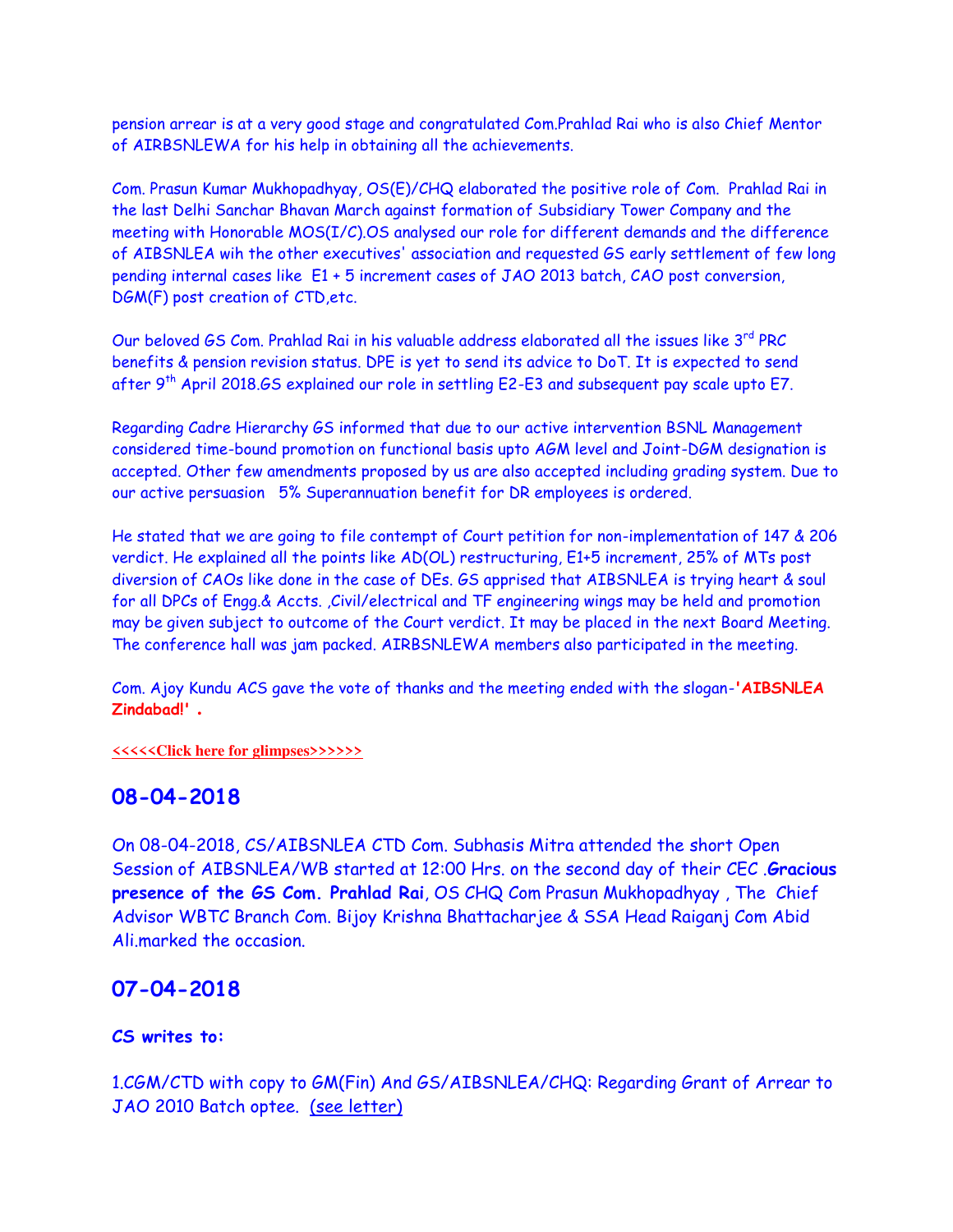pension arrear is at a very good stage and congratulated Com.Prahlad Rai who is also Chief Mentor of AIRBSNLEWA for his help in obtaining all the achievements.

Com. Prasun Kumar Mukhopadhyay, OS(E)/CHQ elaborated the positive role of Com. Prahlad Rai in the last Delhi Sanchar Bhavan March against formation of Subsidiary Tower Company and the meeting with Honorable MOS(I/C).OS analysed our role for different demands and the difference of AIBSNLEA wih the other executives' association and requested GS early settlement of few long pending internal cases like E1 + 5 increment cases of JAO 2013 batch, CAO post conversion, DGM(F) post creation of CTD,etc.

Our beloved GS Com. Prahlad Rai in his valuable address elaborated all the issues like 3rd PRC benefits & pension revision status. DPE is yet to send its advice to DoT. It is expected to send after 9<sup>th</sup> April 2018.GS explained our role in settling E2-E3 and subsequent pay scale upto E7.

Regarding Cadre Hierarchy GS informed that due to our active intervention BSNL Management considered time-bound promotion on functional basis upto AGM level and Joint-DGM designation is accepted. Other few amendments proposed by us are also accepted including grading system. Due to our active persuasion 5% Superannuation benefit for DR employees is ordered.

He stated that we are going to file contempt of Court petition for non-implementation of 147 & 206 verdict. He explained all the points like AD(OL) restructuring, E1+5 increment, 25% of MTs post diversion of CAOs like done in the case of DEs. GS apprised that AIBSNLEA is trying heart & soul for all DPCs of Engg.& Accts. ,Civil/electrical and TF engineering wings may be held and promotion may be given subject to outcome of the Court verdict. It may be placed in the next Board Meeting. The conference hall was jam packed. AIRBSNLEWA members also participated in the meeting.

Com. Ajoy Kundu ACS gave the vote of thanks and the meeting ended with the slogan-**'AIBSNLEA Zindabad!' .**

**[<<<<<Click here for glimpses>>>>>>](https://plus.google.com/u/1/photos/116491319484823879017/album/6543619192985245937/6543619196166876418?authkey=CI3rmqGygbzajgE)**

### **08-04-2018**

On 08-04-2018, CS/AIBSNLEA CTD Com. Subhasis Mitra attended the short Open Session of AIBSNLEA/WB started at 12:00 Hrs. on the second day of their CEC .**Gracious presence of the GS Com. Prahlad Rai**, OS CHQ Com Prasun Mukhopadhyay , The Chief Advisor WBTC Branch Com. Bijoy Krishna Bhattacharjee & SSA Head Raiganj Com Abid Ali.marked the occasion.

### **07-04-2018**

#### **CS writes to:**

1.CGM/CTD with copy to GM(Fin) And GS/AIBSNLEA/CHQ: Regarding Grant of Arrear to JAO 2010 Batch optee. (see letter)